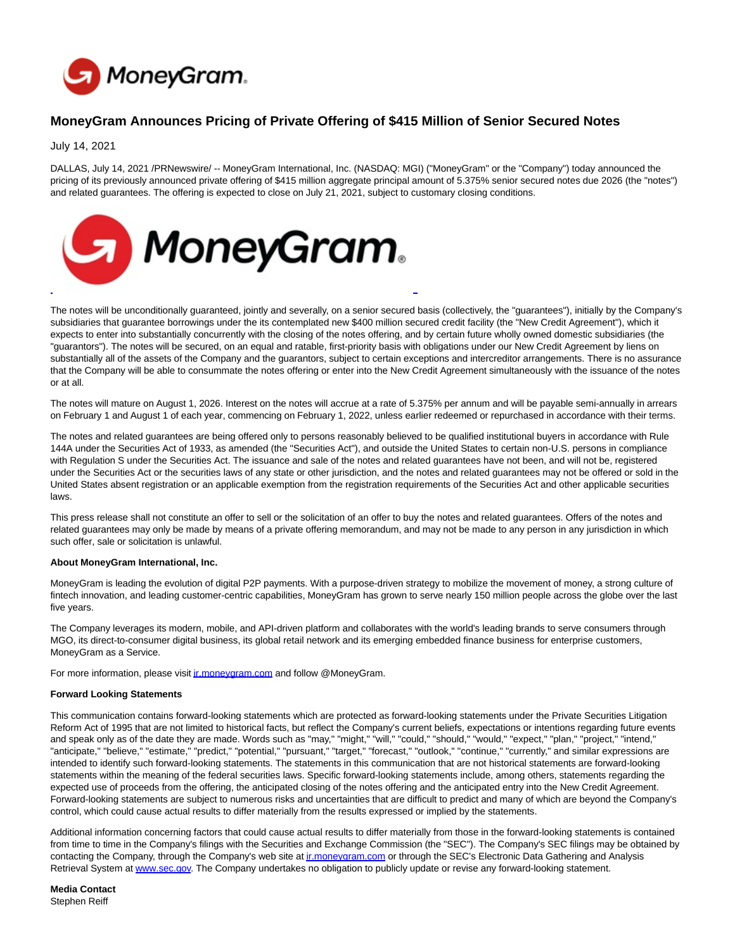

## **MoneyGram Announces Pricing of Private Offering of \$415 Million of Senior Secured Notes**

July 14, 2021

DALLAS, July 14, 2021 /PRNewswire/ -- MoneyGram International, Inc. (NASDAQ: MGI) ("MoneyGram" or the "Company") today announced the pricing of its previously announced private offering of \$415 million aggregate principal amount of 5.375% senior secured notes due 2026 (the "notes") and related guarantees. The offering is expected to close on July 21, 2021, subject to customary closing conditions.



The notes will be unconditionally guaranteed, jointly and severally, on a senior secured basis (collectively, the "guarantees"), initially by the Company's subsidiaries that guarantee borrowings under the its contemplated new \$400 million secured credit facility (the "New Credit Agreement"), which it expects to enter into substantially concurrently with the closing of the notes offering, and by certain future wholly owned domestic subsidiaries (the "guarantors"). The notes will be secured, on an equal and ratable, first-priority basis with obligations under our New Credit Agreement by liens on substantially all of the assets of the Company and the guarantors, subject to certain exceptions and intercreditor arrangements. There is no assurance that the Company will be able to consummate the notes offering or enter into the New Credit Agreement simultaneously with the issuance of the notes or at all.

The notes will mature on August 1, 2026. Interest on the notes will accrue at a rate of 5.375% per annum and will be payable semi-annually in arrears on February 1 and August 1 of each year, commencing on February 1, 2022, unless earlier redeemed or repurchased in accordance with their terms.

The notes and related guarantees are being offered only to persons reasonably believed to be qualified institutional buyers in accordance with Rule 144A under the Securities Act of 1933, as amended (the "Securities Act"), and outside the United States to certain non-U.S. persons in compliance with Regulation S under the Securities Act. The issuance and sale of the notes and related guarantees have not been, and will not be, registered under the Securities Act or the securities laws of any state or other jurisdiction, and the notes and related guarantees may not be offered or sold in the United States absent registration or an applicable exemption from the registration requirements of the Securities Act and other applicable securities laws.

This press release shall not constitute an offer to sell or the solicitation of an offer to buy the notes and related guarantees. Offers of the notes and related guarantees may only be made by means of a private offering memorandum, and may not be made to any person in any jurisdiction in which such offer, sale or solicitation is unlawful.

## **About MoneyGram International, Inc.**

MoneyGram is leading the evolution of digital P2P payments. With a purpose-driven strategy to mobilize the movement of money, a strong culture of fintech innovation, and leading customer-centric capabilities, MoneyGram has grown to serve nearly 150 million people across the globe over the last five years.

The Company leverages its modern, mobile, and API-driven platform and collaborates with the world's leading brands to serve consumers through MGO, its direct-to-consumer digital business, its global retail network and its emerging embedded finance business for enterprise customers, MoneyGram as a Service.

For more information, please visit *ir.moneygram.com* and follow @MoneyGram.

## **Forward Looking Statements**

This communication contains forward-looking statements which are protected as forward-looking statements under the Private Securities Litigation Reform Act of 1995 that are not limited to historical facts, but reflect the Company's current beliefs, expectations or intentions regarding future events and speak only as of the date they are made. Words such as "may," "might," "will," "could," "should," "would," "expect," "plan," "project," "intend," "anticipate," "believe," "estimate," "predict," "potential," "pursuant," "target," "forecast," "outlook," "continue," "currently," and similar expressions are intended to identify such forward-looking statements. The statements in this communication that are not historical statements are forward-looking statements within the meaning of the federal securities laws. Specific forward-looking statements include, among others, statements regarding the expected use of proceeds from the offering, the anticipated closing of the notes offering and the anticipated entry into the New Credit Agreement. Forward-looking statements are subject to numerous risks and uncertainties that are difficult to predict and many of which are beyond the Company's control, which could cause actual results to differ materially from the results expressed or implied by the statements.

Additional information concerning factors that could cause actual results to differ materially from those in the forward-looking statements is contained from time to time in the Company's filings with the Securities and Exchange Commission (the "SEC"). The Company's SEC filings may be obtained by contacting the Company, through the Company's web site a[t ir.moneygram.com o](http://ir.moneygram.com/)r through the SEC's Electronic Data Gathering and Analysis Retrieval System at [www.sec.gov.](http://www.sec.gov/) The Company undertakes no obligation to publicly update or revise any forward-looking statement.

**Media Contact** Stephen Reiff